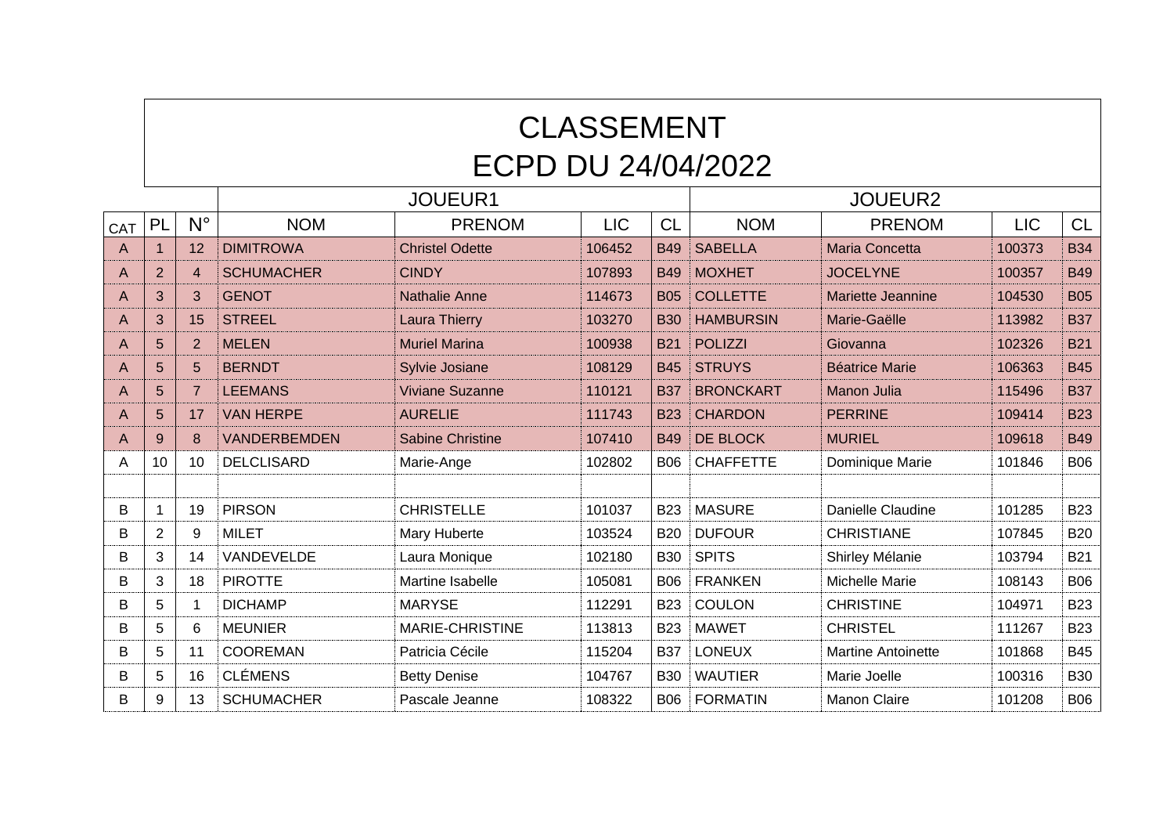## CLASSEMENT ECPD DU 24/04/2022

|     |                |                |                     | JOUEUR1                 | <b>JOUEUR2</b> |            |                  |                           |            |            |
|-----|----------------|----------------|---------------------|-------------------------|----------------|------------|------------------|---------------------------|------------|------------|
| CAT | PL             | $N^{\circ}$    | <b>NOM</b>          | <b>PRENOM</b>           | <b>LIC</b>     | <b>CL</b>  | <b>NOM</b>       | <b>PRENOM</b>             | <b>LIC</b> | <b>CL</b>  |
| A   |                | 12             | <b>DIMITROWA</b>    | <b>Christel Odette</b>  | 106452         | <b>B49</b> | <b>SABELLA</b>   | <b>Maria Concetta</b>     | 100373     | <b>B34</b> |
| A   | $\overline{2}$ | $\overline{4}$ | <b>SCHUMACHER</b>   | <b>CINDY</b>            | 107893         | <b>B49</b> | <b>MOXHET</b>    | <b>JOCELYNE</b>           | 100357     | <b>B49</b> |
| A   | 3              | 3              | <b>GENOT</b>        | <b>Nathalie Anne</b>    | 114673         | <b>B05</b> | <b>COLLETTE</b>  | <b>Mariette Jeannine</b>  | 104530     | <b>B05</b> |
| A   | 3              | 15             | <b>STREEL</b>       | Laura Thierry           | 103270         | <b>B30</b> | <b>HAMBURSIN</b> | Marie-Gaëlle              | 113982     | <b>B37</b> |
| A   | 5              | 2              | <b>MELEN</b>        | <b>Muriel Marina</b>    | 100938         | <b>B21</b> | <b>POLIZZI</b>   | Giovanna                  | 102326     | <b>B21</b> |
| A   | 5              | 5              | <b>BERNDT</b>       | Sylvie Josiane          | 108129         | <b>B45</b> | <b>STRUYS</b>    | <b>Béatrice Marie</b>     | 106363     | <b>B45</b> |
| A   | 5              | $\overline{7}$ | <b>LEEMANS</b>      | <b>Viviane Suzanne</b>  | 110121         | <b>B37</b> | <b>BRONCKART</b> | <b>Manon Julia</b>        | 115496     | <b>B37</b> |
| A   | 5              | 17             | <b>VAN HERPE</b>    | <b>AURELIE</b>          | 111743         | <b>B23</b> | <b>CHARDON</b>   | <b>PERRINE</b>            | 109414     | <b>B23</b> |
| A   | 9              | 8              | <b>VANDERBEMDEN</b> | <b>Sabine Christine</b> | 107410         | <b>B49</b> | DE BLOCK         | <b>MURIEL</b>             | 109618     | <b>B49</b> |
| A   | 10             | 10             | <b>DELCLISARD</b>   | Marie-Ange              | 102802         | <b>B06</b> | <b>CHAFFETTE</b> | Dominique Marie           | 101846     | <b>B06</b> |
|     |                |                |                     |                         |                |            |                  |                           |            |            |
| B   | $\mathbf 1$    | 19             | <b>PIRSON</b>       | <b>CHRISTELLE</b>       | 101037         | <b>B23</b> | <b>MASURE</b>    | Danielle Claudine         | 101285     | <b>B23</b> |
| B   | 2              | 9              | <b>MILET</b>        | Mary Huberte            | 103524         | <b>B20</b> | <b>DUFOUR</b>    | <b>CHRISTIANE</b>         | 107845     | <b>B20</b> |
| B   | 3              | 14             | VANDEVELDE          | Laura Monique           | 102180         | <b>B30</b> | <b>SPITS</b>     | Shirley Mélanie           | 103794     | <b>B21</b> |
| В   | 3              | 18             | <b>PIROTTE</b>      | Martine Isabelle        | 105081         | <b>B06</b> | <b>FRANKEN</b>   | Michelle Marie            | 108143     | <b>B06</b> |
| B   | 5              |                | <b>DICHAMP</b>      | <b>MARYSE</b>           | 112291         | <b>B23</b> | <b>COULON</b>    | <b>CHRISTINE</b>          | 104971     | <b>B23</b> |
| B   | 5              | 6              | <b>MEUNIER</b>      | <b>MARIE-CHRISTINE</b>  | 113813         | <b>B23</b> | <b>MAWET</b>     | <b>CHRISTEL</b>           | 111267     | <b>B23</b> |
| B   | 5              | 11             | <b>COOREMAN</b>     | Patricia Cécile         | 115204         | <b>B37</b> | <b>LONEUX</b>    | <b>Martine Antoinette</b> | 101868     | <b>B45</b> |
| B   | 5              | 16             | <b>CLÉMENS</b>      | <b>Betty Denise</b>     | 104767         | <b>B30</b> | <b>WAUTIER</b>   | Marie Joelle              | 100316     | <b>B30</b> |
| B   | 9              | 13             | <b>SCHUMACHER</b>   | Pascale Jeanne          | 108322         | <b>B06</b> | <b>FORMATIN</b>  | <b>Manon Claire</b>       | 101208     | <b>B06</b> |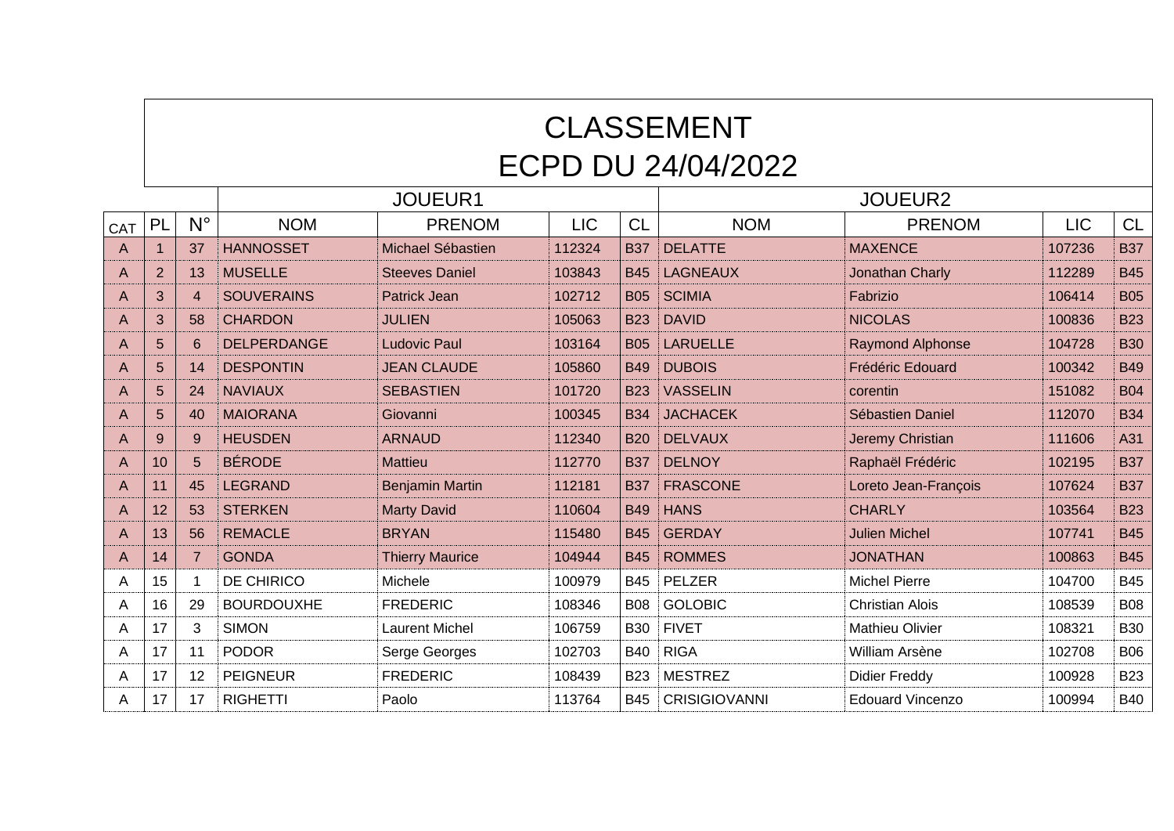## CLASSEMENT ECPD DU 24/04/2022

|     |                 |                  |                    | JOUEUR1                |            |            | <b>JOUEUR2</b>       |                         |            |            |  |
|-----|-----------------|------------------|--------------------|------------------------|------------|------------|----------------------|-------------------------|------------|------------|--|
| CAT | PL              | $N^{\circ}$      | <b>NOM</b>         | <b>PRENOM</b>          | <b>LIC</b> | <b>CL</b>  | <b>NOM</b>           | <b>PRENOM</b>           | <b>LIC</b> | <b>CL</b>  |  |
| A   |                 | 37               | <b>HANNOSSET</b>   | Michael Sébastien      | 112324     | <b>B37</b> | <b>DELATTE</b>       | <b>MAXENCE</b>          | 107236     | <b>B37</b> |  |
| Α   | $\overline{2}$  | 13               | <b>MUSELLE</b>     | <b>Steeves Daniel</b>  | 103843     | <b>B45</b> | <b>LAGNEAUX</b>      | Jonathan Charly         | 112289     | <b>B45</b> |  |
| A   | 3               | $\boldsymbol{A}$ | <b>SOUVERAINS</b>  | Patrick Jean           | 102712     | <b>B05</b> | <b>SCIMIA</b>        | Fabrizio                | 106414     | <b>B05</b> |  |
| Α   | 3               | 58               | <b>CHARDON</b>     | <b>JULIEN</b>          | 105063     | <b>B23</b> | <b>DAVID</b>         | <b>NICOLAS</b>          | 100836     | <b>B23</b> |  |
| A   | 5               | 6                | <b>DELPERDANGE</b> | <b>Ludovic Paul</b>    | 103164     | <b>B05</b> | <b>LARUELLE</b>      | <b>Raymond Alphonse</b> | 104728     | <b>B30</b> |  |
| Α   | 5               | 14               | <b>DESPONTIN</b>   | <b>JEAN CLAUDE</b>     | 105860     | <b>B49</b> | <b>DUBOIS</b>        | Frédéric Edouard        | 100342     | <b>B49</b> |  |
| Α   | 5               | 24               | <b>NAVIAUX</b>     | <b>SEBASTIEN</b>       | 101720     | <b>B23</b> | <b>VASSELIN</b>      | corentin                | 151082     | <b>B04</b> |  |
| A   | 5               | 40               | <b>MAIORANA</b>    | Giovanni               | 100345     | <b>B34</b> | <b>JACHACEK</b>      | Sébastien Daniel        | 112070     | <b>B34</b> |  |
| Α   | 9               | 9                | <b>HEUSDEN</b>     | <b>ARNAUD</b>          | 112340     | <b>B20</b> | <b>DELVAUX</b>       | Jeremy Christian        | 111606     | A31        |  |
| Α   | 10 <sup>1</sup> | 5                | <b>BÉRODE</b>      | <b>Mattieu</b>         | 112770     | <b>B37</b> | <b>DELNOY</b>        | Raphaël Frédéric        | 102195     | <b>B37</b> |  |
| A   | 11              | 45               | <b>LEGRAND</b>     | <b>Benjamin Martin</b> | 112181     | <b>B37</b> | <b>FRASCONE</b>      | Loreto Jean-François    | 107624     | <b>B37</b> |  |
| A   | 12              | 53               | <b>STERKEN</b>     | <b>Marty David</b>     | 110604     | <b>B49</b> | <b>HANS</b>          | <b>CHARLY</b>           | 103564     | <b>B23</b> |  |
| A   | 13              | 56               | <b>REMACLE</b>     | <b>BRYAN</b>           | 115480     | <b>B45</b> | <b>GERDAY</b>        | <b>Julien Michel</b>    | 107741     | <b>B45</b> |  |
| A   | 14              |                  | <b>GONDA</b>       | <b>Thierry Maurice</b> | 104944     | <b>B45</b> | <b>ROMMES</b>        | <b>JONATHAN</b>         | 100863     | <b>B45</b> |  |
| A   | 15              |                  | DE CHIRICO         | Michele                | 100979     | <b>B45</b> | PELZER               | <b>Michel Pierre</b>    | 104700     | <b>B45</b> |  |
| A   | 16              | 29               | <b>BOURDOUXHE</b>  | <b>FREDERIC</b>        | 108346     | <b>B08</b> | <b>GOLOBIC</b>       | <b>Christian Alois</b>  | 108539     | <b>B08</b> |  |
| A   | 17              | 3                | <b>SIMON</b>       | <b>Laurent Michel</b>  | 106759     | <b>B30</b> | <b>FIVET</b>         | <b>Mathieu Olivier</b>  | 108321     | <b>B30</b> |  |
| A   | 17              | 11               | <b>PODOR</b>       | Serge Georges          | 102703     | <b>B40</b> | <b>RIGA</b>          | William Arsène          | 102708     | <b>B06</b> |  |
| Α   | 17              | 12               | <b>PEIGNEUR</b>    | <b>FREDERIC</b>        | 108439     | <b>B23</b> | <b>MESTREZ</b>       | <b>Didier Freddy</b>    | 100928     | <b>B23</b> |  |
| A   | 17              | 17               | <b>RIGHETTI</b>    | Paolo                  | 113764     | <b>B45</b> | <b>CRISIGIOVANNI</b> | <b>Edouard Vincenzo</b> | 100994     | <b>B40</b> |  |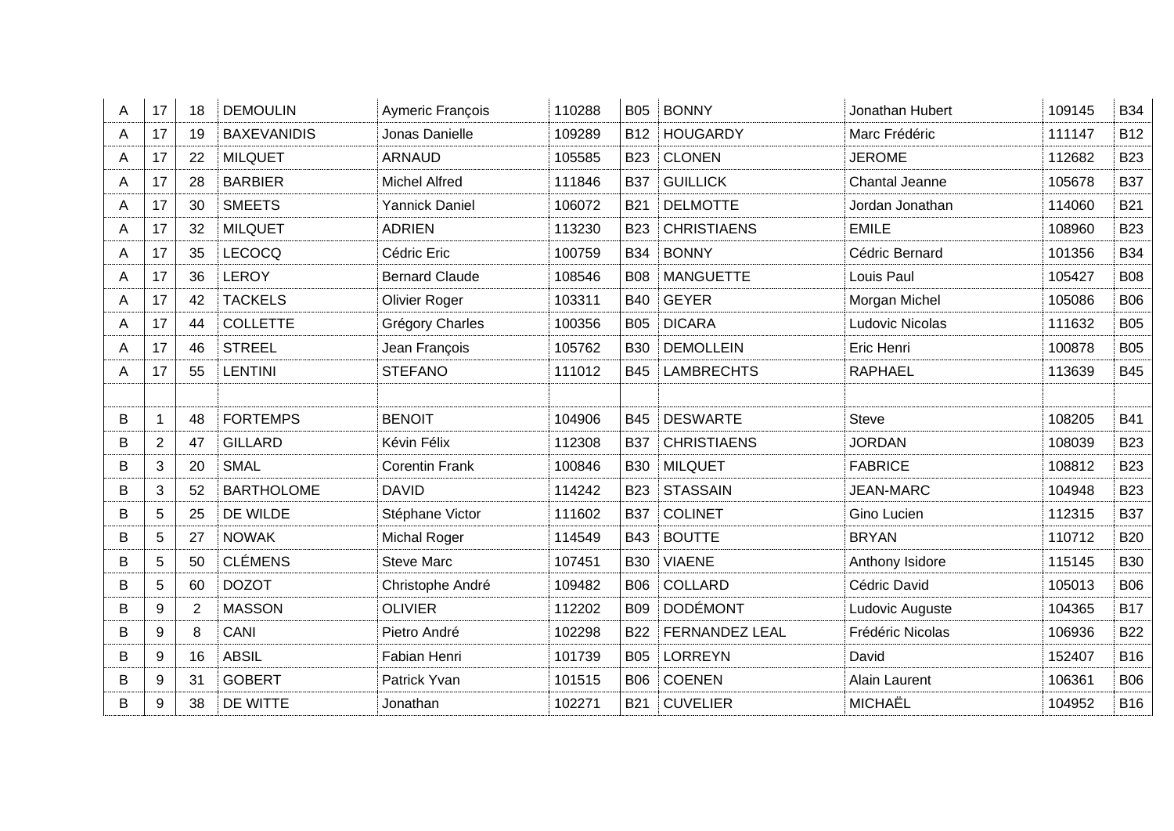| A | 17             | 18             | <b>DEMOULIN</b>    | Aymeric François      | 110288 | <b>B05</b> | <b>BONNY</b>          | Jonathan Hubert  | 109145 | <b>B34</b>      |
|---|----------------|----------------|--------------------|-----------------------|--------|------------|-----------------------|------------------|--------|-----------------|
| A | 17             | 19             | <b>BAXEVANIDIS</b> | Jonas Danielle        | 109289 | <b>B12</b> | <b>HOUGARDY</b>       | Marc Frédéric    | 111147 | B <sub>12</sub> |
| A | 17             | 22             | <b>MILQUET</b>     | <b>ARNAUD</b>         | 105585 | <b>B23</b> | <b>CLONEN</b>         | <b>JEROME</b>    | 112682 | <b>B23</b>      |
| A | 17             | 28             | <b>BARBIER</b>     | <b>Michel Alfred</b>  | 111846 | <b>B37</b> | <b>GUILLICK</b>       | Chantal Jeanne   | 105678 | <b>B37</b>      |
| A | 17             | 30             | <b>SMEETS</b>      | <b>Yannick Daniel</b> | 106072 | <b>B21</b> | <b>DELMOTTE</b>       | Jordan Jonathan  | 114060 | <b>B21</b>      |
| Α | 17             | 32             | <b>MILQUET</b>     | <b>ADRIEN</b>         | 113230 | <b>B23</b> | <b>CHRISTIAENS</b>    | <b>EMILE</b>     | 108960 | <b>B23</b>      |
| A | 17             | 35             | <b>LECOCQ</b>      | Cédric Eric           | 100759 | <b>B34</b> | <b>BONNY</b>          | Cédric Bernard   | 101356 | <b>B34</b>      |
| A | 17             | 36             | <b>LEROY</b>       | <b>Bernard Claude</b> | 108546 | <b>B08</b> | <b>MANGUETTE</b>      | Louis Paul       | 105427 | <b>B08</b>      |
| A | 17             | 42             | <b>TACKELS</b>     | Olivier Roger         | 103311 | <b>B40</b> | <b>GEYER</b>          | Morgan Michel    | 105086 | <b>B06</b>      |
| A | 17             | 44             | <b>COLLETTE</b>    | Grégory Charles       | 100356 | <b>B05</b> | <b>DICARA</b>         | Ludovic Nicolas  | 111632 | <b>B05</b>      |
| A | 17             | 46             | <b>STREEL</b>      | Jean François         | 105762 | <b>B30</b> | <b>DEMOLLEIN</b>      | Eric Henri       | 100878 | <b>B05</b>      |
| A | 17             | 55             | <b>LENTINI</b>     | <b>STEFANO</b>        | 111012 | <b>B45</b> | <b>LAMBRECHTS</b>     | <b>RAPHAEL</b>   | 113639 | <b>B45</b>      |
|   |                |                |                    |                       |        |            |                       |                  |        |                 |
| B | $\mathbf{1}$   | 48             | <b>FORTEMPS</b>    | <b>BENOIT</b>         | 104906 | <b>B45</b> | <b>DESWARTE</b>       | <b>Steve</b>     | 108205 | <b>B41</b>      |
| B | $\overline{2}$ | 47             | <b>GILLARD</b>     | Kévin Félix           | 112308 | <b>B37</b> | <b>CHRISTIAENS</b>    | <b>JORDAN</b>    | 108039 | <b>B23</b>      |
| B | 3              | 20             | <b>SMAL</b>        | <b>Corentin Frank</b> | 100846 | <b>B30</b> | <b>MILQUET</b>        | <b>FABRICE</b>   | 108812 | <b>B23</b>      |
| B | 3              | 52             | <b>BARTHOLOME</b>  | <b>DAVID</b>          | 114242 | <b>B23</b> | <b>STASSAIN</b>       | <b>JEAN-MARC</b> | 104948 | <b>B23</b>      |
| B | 5              | 25             | DE WILDE           | Stéphane Victor       | 111602 | <b>B37</b> | <b>COLINET</b>        | Gino Lucien      | 112315 | <b>B37</b>      |
| B | 5              | 27             | <b>NOWAK</b>       | <b>Michal Roger</b>   | 114549 | <b>B43</b> | <b>BOUTTE</b>         | <b>BRYAN</b>     | 110712 | <b>B20</b>      |
| B | 5              | 50             | <b>CLÉMENS</b>     | <b>Steve Marc</b>     | 107451 | <b>B30</b> | <b>VIAENE</b>         | Anthony Isidore  | 115145 | <b>B30</b>      |
| B | 5              | 60             | <b>DOZOT</b>       | Christophe André      | 109482 | <b>B06</b> | <b>COLLARD</b>        | Cédric David     | 105013 | <b>B06</b>      |
| В | 9              | $\overline{2}$ | <b>MASSON</b>      | <b>OLIVIER</b>        | 112202 | <b>B09</b> | <b>DODÉMONT</b>       | Ludovic Auguste  | 104365 | <b>B17</b>      |
| B | 9              | 8              | CANI               | Pietro André          | 102298 | <b>B22</b> | <b>FERNANDEZ LEAL</b> | Frédéric Nicolas | 106936 | <b>B22</b>      |
| B | 9              | 16             | <b>ABSIL</b>       | Fabian Henri          | 101739 | <b>B05</b> | <b>LORREYN</b>        | David            | 152407 | <b>B16</b>      |
| B | 9              | 31             | <b>GOBERT</b>      | Patrick Yvan          | 101515 | <b>B06</b> | <b>COENEN</b>         | Alain Laurent    | 106361 | <b>B06</b>      |
| B | 9              | 38             | DE WITTE           | Jonathan              | 102271 | <b>B21</b> | <b>CUVELIER</b>       | MICHAËL          | 104952 | <b>B16</b>      |